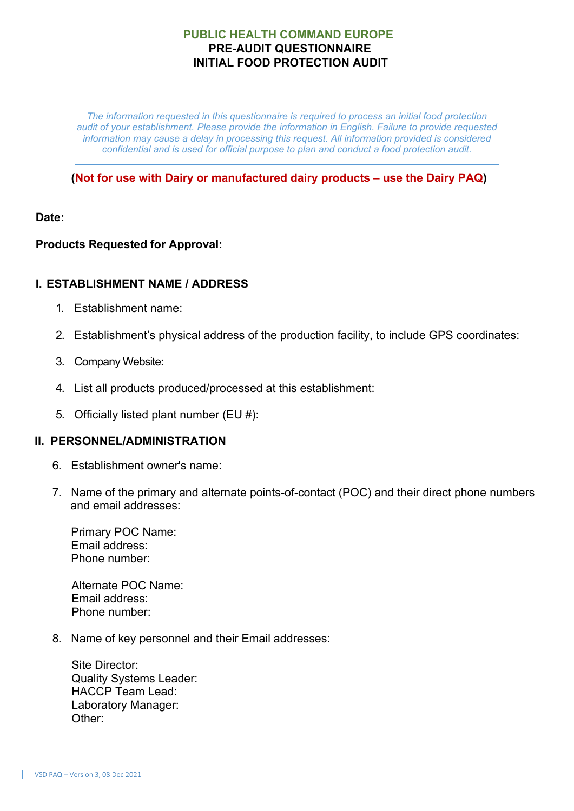*The information requested in this questionnaire is required to process an initial food protection audit of your establishment. Please provide the information in English. Failure to provide requested information may cause a delay in processing this request. All information provided is considered confidential and is used for official purpose to plan and conduct a food protection audit.*

### **(Not for use with Dairy or manufactured dairy products – use the Dairy PAQ)**

### **Date:**

# **Products Requested for Approval:**

# **I. ESTABLISHMENT NAME / ADDRESS**

- 1. Establishment name:
- 2. Establishment's physical address of the production facility, to include GPS coordinates:
- 3. Company Website:
- 4. List all products produced/processed at this establishment:
- 5. Officially listed plant number (EU #):

### **II. PERSONNEL/ADMINISTRATION**

- 6. Establishment owner's name:
- 7. Name of the primary and alternate points-of-contact (POC) and their direct phone numbers and email addresses:

Primary POC Name: Email address: Phone number:

Alternate POC Name: Email address: Phone number:

8. Name of key personnel and their Email addresses:

Site Director: Quality Systems Leader: HACCP Team Lead: Laboratory Manager: Other: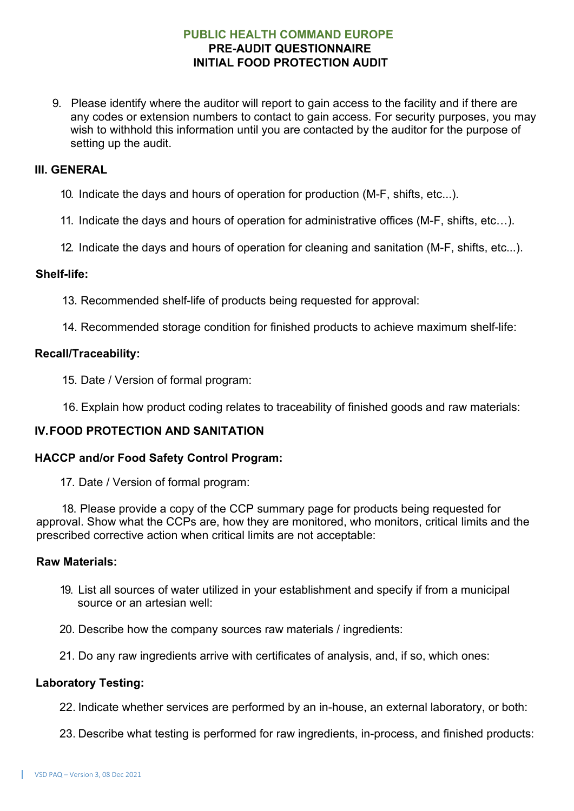9. Please identify where the auditor will report to gain access to the facility and if there are any codes or extension numbers to contact to gain access. For security purposes, you may wish to withhold this information until you are contacted by the auditor for the purpose of setting up the audit.

#### **III. GENERAL**

- 10. Indicate the days and hours of operation for production (M-F, shifts, etc...).
- 11. Indicate the days and hours of operation for administrative offices (M-F, shifts, etc…).
- 12. Indicate the days and hours of operation for cleaning and sanitation (M-F, shifts, etc...).

#### **Shelf-life:**

- 13. Recommended shelf-life of products being requested for approval:
- 14. Recommended storage condition for finished products to achieve maximum shelf-life:

#### **Recall/Traceability:**

- 15. Date / Version of formal program:
- 16. Explain how product coding relates to traceability of finished goods and raw materials:

### **IV.FOOD PROTECTION AND SANITATION**

#### **HACCP and/or Food Safety Control Program:**

17. Date / Version of formal program:

18. Please provide a copy of the CCP summary page for products being requested for approval. Show what the CCPs are, how they are monitored, who monitors, critical limits and the prescribed corrective action when critical limits are not acceptable:

#### **Raw Materials:**

- 19. List all sources of water utilized in your establishment and specify if from a municipal source or an artesian well:
- 20. Describe how the company sources raw materials / ingredients:
- 21. Do any raw ingredients arrive with certificates of analysis, and, if so, which ones:

#### **Laboratory Testing:**

- 22. Indicate whether services are performed by an in-house, an external laboratory, or both:
- 23. Describe what testing is performed for raw ingredients, in-process, and finished products: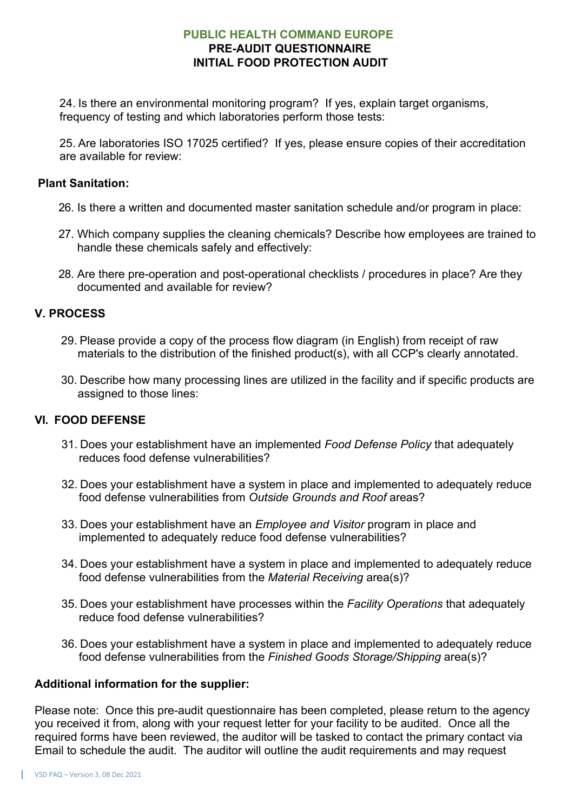24. Is there an environmental monitoring program? If yes, explain target organisms, frequency of testing and which laboratories perform those tests:

25. Are laboratories ISO 17025 certified? If yes, please ensure copies of their accreditation are available for review:

#### **Plant Sanitation:**

- 26. Is there a written and documented master sanitation schedule and/or program in place:
- 27. Which company supplies the cleaning chemicals? Describe how employees are trained to handle these chemicals safely and effectively:
- 28. Are there pre-operation and post-operational checklists / procedures in place? Are they documented and available for review?

### **V. PROCESS**

- 29. Please provide a copy of the process flow diagram (in English) from receipt of raw materials to the distribution of the finished product(s), with all CCP's clearly annotated.
- 30. Describe how many processing lines are utilized in the facility and if specific products are assigned to those lines:

# **VI. FOOD DEFENSE**

- 31. Does your establishment have an implemented *Food Defense Policy* that adequately reduces food defense vulnerabilities?
- 32. Does your establishment have a system in place and implemented to adequately reduce food defense vulnerabilities from *Outside Grounds and Roof* areas?
- 33. Does your establishment have an *Employee and Visitor* program in place and implemented to adequately reduce food defense vulnerabilities?
- 34. Does your establishment have a system in place and implemented to adequately reduce food defense vulnerabilities from the *Material Receiving* area(s)?
- 35. Does your establishment have processes within the *Facility Operations* that adequately reduce food defense vulnerabilities?
- 36. Does your establishment have a system in place and implemented to adequately reduce food defense vulnerabilities from the *Finished Goods Storage/Shipping* area(s)?

### **Additional information for the supplier:**

Please note: Once this pre-audit questionnaire has been completed, please return to the agency you received it from, along with your request letter for your facility to be audited. Once all the required forms have been reviewed, the auditor will be tasked to contact the primary contact via Email to schedule the audit. The auditor will outline the audit requirements and may request